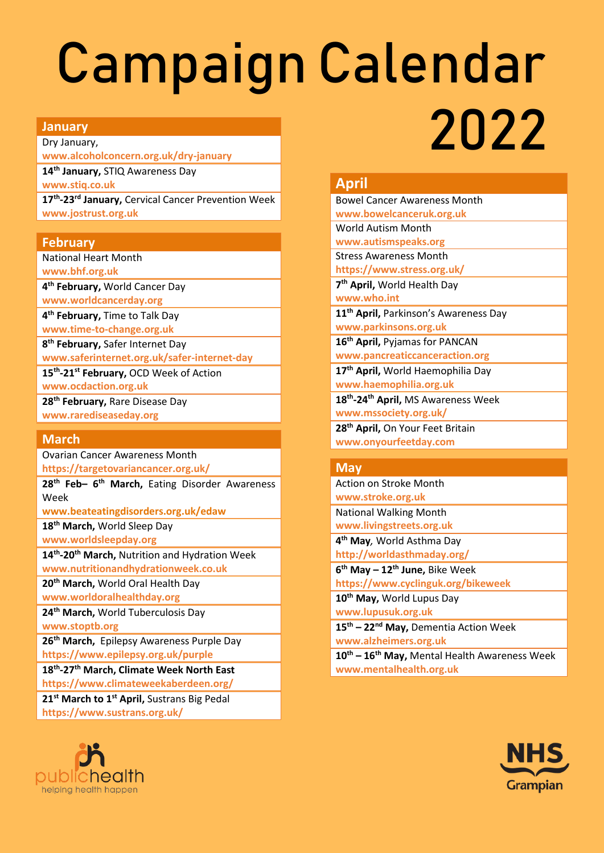# Campaign Calendar

### **January**

Dry January, **[www.alcoholconcern.org.uk/dry-january](https://www.alcoholconcern.org.uk/dry-january)**

**14th January,** STIQ Awareness Day

**[www.stiq.co.uk](http://www.stiq.co.uk/)**

**17th -23rd January,** Cervical Cancer Prevention Week **[www.jostrust.org.uk](http://www.jostrust.org.uk/)**

# **February**

National Heart Month

**[www.bhf.org.uk](http://www.bhf.org.uk/)**

**4 th February,** World Cancer Day

**[www.worldcancerday.org](http://www.worldcancerday.org/)**

**4 th February,** Time to Talk Day **[www.time-to-change.org.uk](http://www.time-to-change.org.uk/)**

**8 th February,** Safer Internet Day

**[www.saferinternet.org.uk/safer-internet-day](http://www.saferinternet.org.uk/safer-internet-day)** 

**15th -21st February,** OCD Week of Action

**[www.ocdaction.org.uk](http://www.ocdaction.org.uk/)**

**28th February,** Rare Disease Day **[www.rarediseaseday.org](http://www.rarediseaseday.org/)**

# **March**

Ovarian Cancer Awareness Month **<https://targetovariancancer.org.uk/>**

**28th Feb– 6 th March,** Eating Disorder Awareness Week

**[www.beateatingdisorders.org.uk/edaw](http://www.beateatingdisorders.org.uk/edaw)**

**18th March,** World Sleep Day

**[www.worldsleepday.org](http://www.worldsleepday.org/)**

**14th -20 th March,** Nutrition and Hydration Week **www[.nutritionandhydrationweek.co.uk](https://nutritionandhydrationweek.co.uk/)**

**20th March,** World Oral Health Day

**[www.worldoralhealthday.org](http://www.worldoralhealthday.org/) 24th March,** World Tuberculosis Day

**[www.stoptb.org](http://www.stoptb.org/)**

**26th March,** Epilepsy Awareness Purple Day **<https://www.epilepsy.org.uk/purple>**

**18th -27th March, Climate Week North East**

**<https://www.climateweekaberdeen.org/>**

**21st March to 1st April,** Sustrans Big Pedal **https://www.sustrans.org.uk/**



# **April**

Bowel Cancer Awareness Month **[www.bowelcanceruk.org.uk](http://www.bowelcanceruk.org.uk/)** World Autism Month **[www.autismspeaks.org](http://www.autismspeaks.org/)** Stress Awareness Month **https://www.stress.org.uk/ 7 th April,** World Health Day **[www.who.int](http://www.who.int/) 11th April,** Parkinson's Awareness Day **[www.parkinsons.org.uk](http://www.parkinsons.org.uk/) 16 th April,** Pyjamas for PANCAN **[www.pancreaticcanceraction.org](http://www.pancreaticcanceraction.org/) 17th April,** World Haemophilia Day **[www.haemophilia.org.uk](http://www.haemophilia.org.uk/) 18th -24th April,** MS Awareness Week **www.mssociety.org.uk/ 28th April,** On Your Feet Britain **[www.onyourfeetday.com](http://www.onyourfeetday.com/)**

2022

# **May**

Action on Stroke Month **[www.stroke.org.uk](http://www.stroke.org.uk/)** National Walking Month

**www.livingstreets.org.uk 4 th May***,* World Asthma Day

**<http://worldasthmaday.org/>**

**6 th May – 12th June,** Bike Week

**https://www.cyclinguk.org/bikeweek**

**10th May,** World Lupus Day **[www.lupusuk.org.uk](http://www.lupusuk.org.uk/)**

**15th – 22nd May,** Dementia Action Week **[www.alzheimers.org.uk](http://www.alzheimers.org.uk/)**

**10th – 16th May,** Mental Health Awareness Week **[www.mentalhealth.org.uk](https://www.mentalhealth.org.uk/campaigns/mental-health-awareness-week)**